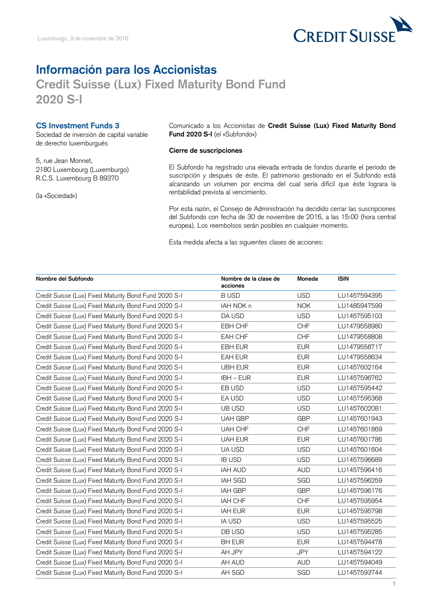

## **Información para los Accionistas**

## **Credit Suisse (Lux) Fixed Maturity Bond Fund 2020 S-I**

**CS Investment Funds 3**

Sociedad de inversión de capital variable de derecho luxemburgués

5, rue Jean Monnet, 2180 Luxembourg (Luxemburgo) R.C.S. Luxembourg B 89370

(la «Sociedad»)

Comunicado a los Accionistas de **Credit Suisse (Lux) Fixed Maturity Bond Fund 2020 S-I** (el «Subfondo»)

## **Cierre de suscripciones**

El Subfondo ha registrado una elevada entrada de fondos durante el periodo de suscripción y después de éste. El patrimonio gestionado en el Subfondo está alcanzando un volumen por encima del cual sería difícil que éste lograra la rentabilidad prevista al vencimiento.

Por esta razón, el Consejo de Administración ha decidido cerrar las suscripciones del Subfondo con fecha de 30 de noviembre de 2016, a las 15:00 (hora central europea). Los reembolsos serán posibles en cualquier momento.

Esta medida afecta a las siguientes clases de acciones:

| Nombre del Subfondo                                   | Nombre de la clase de<br>acciones | Moneda     | <b>ISIN</b>  |
|-------------------------------------------------------|-----------------------------------|------------|--------------|
| Credit Suisse (Lux) Fixed Maturity Bond Fund 2020 S-I | <b>BUSD</b>                       | <b>USD</b> | LU1457594395 |
| Credit Suisse (Lux) Fixed Maturity Bond Fund 2020 S-I | IAH NOK n                         | <b>NOK</b> | LU1485947599 |
| Credit Suisse (Lux) Fixed Maturity Bond Fund 2020 S-I | DA USD                            | <b>USD</b> | LU1457595103 |
| Credit Suisse (Lux) Fixed Maturity Bond Fund 2020 S-I | EBH CHF                           | <b>CHF</b> | LU1479558980 |
| Credit Suisse (Lux) Fixed Maturity Bond Fund 2020 S-I | EAH CHF                           | <b>CHF</b> | LU1479558808 |
| Credit Suisse (Lux) Fixed Maturity Bond Fund 2020 S-I | EBH EUR                           | <b>EUR</b> | LU1479558717 |
| Credit Suisse (Lux) Fixed Maturity Bond Fund 2020 S-I | EAH EUR                           | <b>EUR</b> | LU1479558634 |
| Credit Suisse (Lux) Fixed Maturity Bond Fund 2020 S-I | <b>UBH EUR</b>                    | <b>EUR</b> | LU1457602164 |
| Credit Suisse (Lux) Fixed Maturity Bond Fund 2020 S-I | $IBH - EUR$                       | <b>EUR</b> | LU1457596762 |
| Credit Suisse (Lux) Fixed Maturity Bond Fund 2020 S-I | EB USD                            | <b>USD</b> | LU1457595442 |
| Credit Suisse (Lux) Fixed Maturity Bond Fund 2020 S-I | EA USD                            | <b>USD</b> | LU1457595368 |
| Credit Suisse (Lux) Fixed Maturity Bond Fund 2020 S-I | UB USD                            | <b>USD</b> | LU1457602081 |
| Credit Suisse (Lux) Fixed Maturity Bond Fund 2020 S-I | <b>UAH GBP</b>                    | <b>GBP</b> | LU1457601943 |
| Credit Suisse (Lux) Fixed Maturity Bond Fund 2020 S-I | <b>UAH CHF</b>                    | <b>CHF</b> | LU1457601869 |
| Credit Suisse (Lux) Fixed Maturity Bond Fund 2020 S-I | <b>UAH EUR</b>                    | <b>EUR</b> | LU1457601786 |
| Credit Suisse (Lux) Fixed Maturity Bond Fund 2020 S-I | UA USD                            | <b>USD</b> | LU1457601604 |
| Credit Suisse (Lux) Fixed Maturity Bond Fund 2020 S-I | <b>IB USD</b>                     | <b>USD</b> | LU1457596689 |
| Credit Suisse (Lux) Fixed Maturity Bond Fund 2020 S-I | <b>IAH AUD</b>                    | <b>AUD</b> | LU1457596416 |
| Credit Suisse (Lux) Fixed Maturity Bond Fund 2020 S-I | <b>IAH SGD</b>                    | SGD        | LU1457596259 |
| Credit Suisse (Lux) Fixed Maturity Bond Fund 2020 S-I | <b>IAH GBP</b>                    | <b>GBP</b> | LU1457596176 |
| Credit Suisse (Lux) Fixed Maturity Bond Fund 2020 S-I | IAH CHF                           | <b>CHF</b> | LU1457595954 |
| Credit Suisse (Lux) Fixed Maturity Bond Fund 2020 S-I | <b>IAH EUR</b>                    | <b>EUR</b> | LU1457595798 |
| Credit Suisse (Lux) Fixed Maturity Bond Fund 2020 S-I | <b>IA USD</b>                     | <b>USD</b> | LU1457595525 |
| Credit Suisse (Lux) Fixed Maturity Bond Fund 2020 S-I | DB USD                            | <b>USD</b> | LU1457595285 |
| Credit Suisse (Lux) Fixed Maturity Bond Fund 2020 S-I | <b>BH EUR</b>                     | <b>EUR</b> | LU1457594478 |
| Credit Suisse (Lux) Fixed Maturity Bond Fund 2020 S-I | AH JPY                            | <b>JPY</b> | LU1457594122 |
| Credit Suisse (Lux) Fixed Maturity Bond Fund 2020 S-I | AH AUD                            | <b>AUD</b> | LU1457594049 |
| Credit Suisse (Lux) Fixed Maturity Bond Fund 2020 S-I | AH SGD                            | SGD        | LU1457593744 |